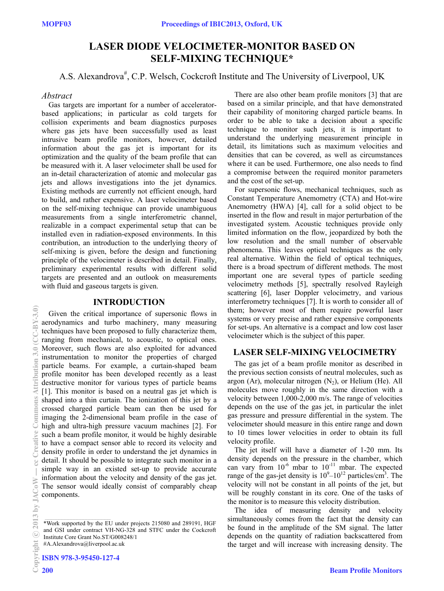# **LASER DIODE VELOCIMETER-MONITOR BASED ON SELF-MIXING TECHNIQUE\***

A.S. Alexandrova<sup>#</sup>, C.P. Welsch, Cockcroft Institute and The University of Liverpool, UK

# *Abstract*

Gas targets are important for a number of acceleratorbased applications; in particular as cold targets for collision experiments and beam diagnostics purposes where gas jets have been successfully used as least intrusive beam profile monitors, however, detailed information about the gas jet is important for its optimization and the quality of the beam profile that can be measured with it. A laser velocimeter shall be used for an in-detail characterization of atomic and molecular gas jets and allows investigations into the jet dynamics. Existing methods are currently not efficient enough, hard to build, and rather expensive. A laser velocimeter based on the self-mixing technique can provide unambiguous measurements from a single interferometric channel, realizable in a compact experimental setup that can be installed even in radiation-exposed environments. In this contribution, an introduction to the underlying theory of self-mixing is given, before the design and functioning principle of the velocimeter is described in detail. Finally, preliminary experimental results with different solid targets are presented and an outlook on measurements with fluid and gaseous targets is given.

### **INTRODUCTION**

Given the critical importance of supersonic flows in aerodynamics and turbo machinery, many measuring techniques have been proposed to fully characterize them, ranging from mechanical, to acoustic, to optical ones. Moreover, such flows are also exploited for advanced instrumentation to monitor the properties of charged particle beams. For example, a curtain-shaped beam profile monitor has been developed recently as a least destructive monitor for various types of particle beams [1]. This monitor is based on a neutral gas jet which is shaped into a thin curtain. The ionization of this jet by a crossed charged particle beam can then be used for imaging the 2-dimensional beam profile in the case of high and ultra-high pressure vacuum machines [2]. For such a beam profile monitor, it would be highly desirable to have a compact sensor able to record its velocity and density profile in order to understand the jet dynamics in detail. It should be possible to integrate such monitor in a simple way in an existed set-up to provide accurate information about the velocity and density of the gas jet. The sensor would ideally consist of comparably cheap components.

ISBN 978-3-95450-127-4

There are also other beam profile monitors [3] that are based on a similar principle, and that have demonstrated their capability of monitoring charged particle beams. In order to be able to take a decision about a specific technique to monitor such jets, it is important to understand the underlying measurement principle in detail, its limitations such as maximum velocities and densities that can be covered, as well as circumstances where it can be used. Furthermore, one also needs to find a compromise between the required monitor parameters and the cost of the set-up.

For supersonic flows, mechanical techniques, such as Constant Temperature Anemometry (CTA) and Hot-wire Anemometry (HWA) [4], call for a solid object to be inserted in the flow and result in major perturbation of the investigated system. Acoustic techniques provide only limited information on the flow, jeopardized by both the low resolution and the small number of observable phenomena. This leaves optical techniques as the only real alternative. Within the field of optical techniques, there is a broad spectrum of different methods. The most important one are several types of particle seeding velocimetry methods [5], spectrally resolved Rayleigh scattering [6], laser Doppler velocimetry, and various interferometry techniques [7]. It is worth to consider all of them; however most of them require powerful laser systems or very precise and rather expensive components for set-ups. An alternative is a compact and low cost laser velocimeter which is the subject of this paper.

# **LASER SELF-MIXING VELOCIMETRY**

The gas jet of a beam profile monitor as described in the previous section consists of neutral molecules, such as argon (Ar), molecular nitrogen  $(N_2)$ , or Helium (He). All molecules move roughly in the same direction with a velocity between 1,000-2,000 m/s. The range of velocities depends on the use of the gas jet, in particular the inlet gas pressure and pressure differential in the system. The velocimeter should measure in this entire range and down to 10 times lower velocities in order to obtain its full velocity profile.

The jet itself will have a diameter of 1-20 mm. Its density depends on the pressure in the chamber, which can vary from  $10^{-6}$  mbar to  $10^{-11}$  mbar. The expected range of the gas-jet density is  $10^9 - 10^{12}$  particles/cm<sup>3</sup>. The velocity will not be constant in all points of the jet, but will be roughly constant in its core. One of the tasks of the monitor is to measure this velocity distribution.

The idea of measuring density and velocity simultaneously comes from the fact that the density can be found in the amplitude of the SM signal. The latter depends on the quantity of radiation backscattered from the target and will increase with increasing density. The

<sup>\*</sup>Work supported by the EU under projects 215080 and 289191, HGF and GSI under contract VH-NG-328 and STFC under the Cockcroft Institute Core Grant No.ST/G008248/1 #A.Alexandrova@liverpool.ac.uk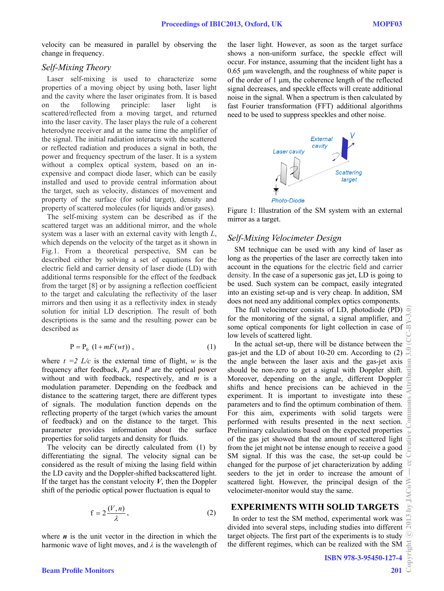velocity can be measured in parallel by observing the change in frequency.

### *Self-Mixing Theory*

Laser self-mixing is used to characterize some properties of a moving object by using both, laser light and the cavity where the laser originates from. It is based on the following principle: laser light is scattered/reflected from a moving target, and returned into the laser cavity. The laser plays the rule of a coherent heterodyne receiver and at the same time the amplifier of the signal. The initial radiation interacts with the scattered or reflected radiation and produces a signal in both, the power and frequency spectrum of the laser. It is a system without a complex optical system, based on an inexpensive and compact diode laser, which can be easily installed and used to provide central information about the target, such as velocity, distances of movement and property of the surface (for solid target), density and property of scattered molecules (for liquids and/or gases).

The self-mixing system can be described as if the scattered target was an additional mirror, and the whole system was a laser with an external cavity with length *L*, which depends on the velocity of the target as it shown in Fig.1. From a theoretical perspective, SM can be described either by solving a set of equations for the electric field and carrier density of laser diode (LD) with additional terms responsible for the effect of the feedback from the target [8] or by assigning a reflection coefficient to the target and calculating the reflectivity of the laser mirrors and then using it as a reflectivity index in steady solution for initial LD description. The result of both descriptions is the same and the resulting power can be described as

$$
P = P_0 \left(1 + mF(wt)\right),\tag{1}
$$

where  $t = 2$  *L/c* is the external time of flight, *w* is the frequency after feedback,  $P_0$  and  $P$  are the optical power without and with feedback, respectively, and *m* is a modulation parameter. Depending on the feedback and distance to the scattering target, there are different types of signals. The modulation function depends on the reflecting property of the target (which varies the amount of feedback) and on the distance to the target. This parameter provides information about the surface properties for solid targets and density for fluids.

The velocity can be directly calculated from (1) by differentiating the signal. The velocity signal can be considered as the result of mixing the lasing field within the LD cavity and the Doppler-shifted backscattered light. If the target has the constant velocity  $V$ , then the Doppler shift of the periodic optical power fluctuation is equal to

$$
f = 2\frac{(V, n)}{\lambda},\tag{2}
$$

where  $\boldsymbol{n}$  is the unit vector in the direction in which the harmonic wave of light moves, and *λ* is the wavelength of the laser light. However, as soon as the target surface shows a non-uniform surface, the speckle effect will occur. For instance, assuming that the incident light has a  $0.65$  um wavelength, and the roughness of white paper is of the order of  $1 \mu m$ , the coherence length of the reflected signal decreases, and speckle effects will create additional noise in the signal. When a spectrum is then calculated by fast Fourier transformation (FFT) additional algorithms need to be used to suppress speckles and other noise.



Figure 1: Illustration of the SM system with an external mirror as a target.

# *Self-Mixing Velocimeter Design*

SM technique can be used with any kind of laser as long as the properties of the laser are correctly taken into account in the equations for the electric field and carrier density. In the case of a supersonic gas jet, LD is going to be used. Such system can be compact, easily integrated into an existing set-up and is very cheap. In addition, SM does not need any additional complex optics components.

The full velocimeter consists of LD, photodiode (PD)  $\widehat{\in}$ for the monitoring of the signal, a signal amplifier, and some optical components for light collection in case of low levels of scattered light.

In the actual set-up, there will be distance between the gas-jet and the LD of about 10-20 cm. According to (2) the angle between the laser axis and the gas-jet axis should be non-zero to get a signal with Doppler shift. Moreover, depending on the angle, different Doppler shifts and hence precisions can be achieved in the experiment. It is important to investigate into these parameters and to find the optimum combination of them. For this aim, experiments with solid targets were performed with results presented in the next section. Preliminary calculations based on the expected properties of the gas jet showed that the amount of scattered light from the jet might not be intense enough to receive a good SM signal. If this was the case, the set-up could be changed for the purpose of jet characterization by adding seeders to the jet in order to increase the amount of scattered light. However, the principal design of the velocimeter-monitor would stay the same.

# **EXPERIMENTS WITH SOLID TARGETS**

In order to test the SM method, experimental work was divided into several steps, including studies into different target objects. The first part of the experiments is to study the different regimes, which can be realized with the SM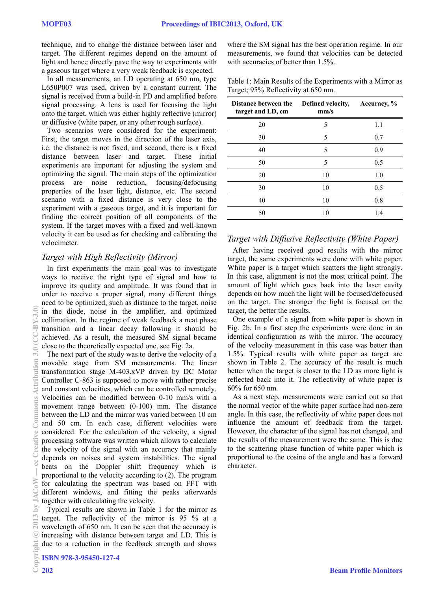technique, and to change the distance between laser and target. The different regimes depend on the amount of light and hence directly pave the way to experiments with a gaseous target where a very weak feedback is expected.

In all measurements, an LD operating at 650 nm, type L650P007 was used, driven by a constant current. The signal is received from a build-in PD and amplified before signal processing. A lens is used for focusing the light onto the target, which was either highly reflective (mirror) or diffusive (white paper, or any other rough surface).

Two scenarios were considered for the experiment: First, the target moves in the direction of the laser axis, i.e. the distance is not fixed, and second, there is a fixed distance between laser and target. These initial experiments are important for adjusting the system and optimizing the signal. The main steps of the optimization process are noise reduction, focusing/defocusing properties of the laser light, distance, etc. The second scenario with a fixed distance is very close to the experiment with a gaseous target, and it is important for finding the correct position of all components of the system. If the target moves with a fixed and well-known velocity it can be used as for checking and calibrating the velocimeter.

# *Target with High Reflectivity (Mirror)*

In first experiments the main goal was to investigate ways to receive the right type of signal and how to improve its quality and amplitude. It was found that in order to receive a proper signal, many different things need to be optimized, such as distance to the target, noise in the diode, noise in the amplifier, and optimized collimation. In the regime of weak feedback a neat phase transition and a linear decay following it should be achieved. As a result, the measured SM signal became close to the theoretically expected one, see Fig. 2a.

The next part of the study was to derive the velocity of a movable stage from SM measurements. The linear transformation stage M-403.xVP driven by DC Motor Controller C-863 is supposed to move with rather precise and constant velocities, which can be controlled remotely. Velocities can be modified between 0-10 mm/s with a movement range between (0-100) mm. The distance between the LD and the mirror was varied between 10 cm and 50 cm. In each case, different velocities were considered. For the calculation of the velocity, a signal processing software was written which allows to calculate the velocity of the signal with an accuracy that mainly depends on noises and system instabilities. The signal beats on the Doppler shift frequency which is proportional to the velocity according to (2). The program for calculating the spectrum was based on FFT with different windows, and fitting the peaks afterwards together with calculating the velocity.

Typical results are shown in Table 1 for the mirror as target. The reflectivity of the mirror is 95 % at a wavelength of 650 nm. It can be seen that the accuracy is increasing with distance between target and LD. This is due to a reduction in the feedback strength and shows where the SM signal has the best operation regime. In our measurements, we found that velocities can be detected with accuracies of better than 1.5%.

Table 1: Main Results of the Experiments with a Mirror as Target; 95% Reflectivity at 650 nm.

| Distance between the<br>target and LD, cm | Defined velocity,<br>mm/s | Accuracy, % |
|-------------------------------------------|---------------------------|-------------|
| 20                                        | 5                         | 1.1         |
| 30                                        | 5                         | 0.7         |
| 40                                        | 5                         | 0.9         |
| 50                                        | 5                         | 0.5         |
| 20                                        | 10                        | 1.0         |
| 30                                        | 10                        | 0.5         |
| 40                                        | 10                        | 0.8         |
| 50                                        | 10                        | 1.4         |

# *Target with Diffusive Reflectivity (White Paper)*

After having received good results with the mirror target, the same experiments were done with white paper. White paper is a target which scatters the light strongly. In this case, alignment is not the most critical point. The amount of light which goes back into the laser cavity depends on how much the light will be focused/defocused on the target. The stronger the light is focused on the target, the better the results.

One example of a signal from white paper is shown in Fig. 2b. In a first step the experiments were done in an identical configuration as with the mirror. The accuracy of the velocity measurement in this case was better than 1.5%. Typical results with white paper as target are shown in Table 2. The accuracy of the result is much better when the target is closer to the LD as more light is reflected back into it. The reflectivity of white paper is 60% for 650 nm.

As a next step, measurements were carried out so that the normal vector of the white paper surface had non-zero angle. In this case, the reflectivity of white paper does not influence the amount of feedback from the target. However, the character of the signal has not changed, and the results of the measurement were the same. This is due to the scattering phase function of white paper which is proportional to the cosine of the angle and has a forward character.